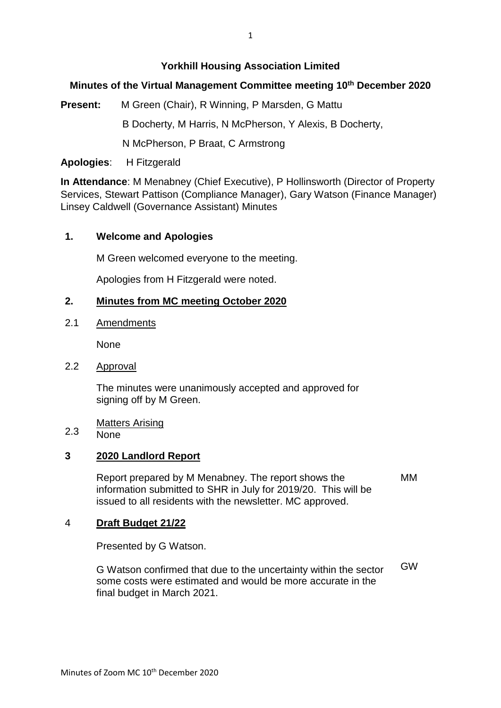### **Yorkhill Housing Association Limited**

# **Minutes of the Virtual Management Committee meeting 10th December 2020**

**Present:** M Green (Chair), R Winning, P Marsden, G Mattu

B Docherty, M Harris, N McPherson, Y Alexis, B Docherty,

N McPherson, P Braat, C Armstrong

**Apologies**: H Fitzgerald

**In Attendance**: M Menabney (Chief Executive), P Hollinsworth (Director of Property Services, Stewart Pattison (Compliance Manager), Gary Watson (Finance Manager) Linsey Caldwell (Governance Assistant) Minutes

## **1. Welcome and Apologies**

M Green welcomed everyone to the meeting.

Apologies from H Fitzgerald were noted.

#### **2. Minutes from MC meeting October 2020**

2.1 Amendments

None

2.2 Approval

> The minutes were unanimously accepted and approved for signing off by M Green.

Matters Arising

### 2.3 None

### **3 2020 Landlord Report**

Report prepared by M Menabney. The report shows the information submitted to SHR in July for 2019/20. This will be issued to all residents with the newsletter. MC approved. MM

### 4 **Draft Budget 21/22**

Presented by G Watson.

G Watson confirmed that due to the uncertainty within the sector some costs were estimated and would be more accurate in the final budget in March 2021. GW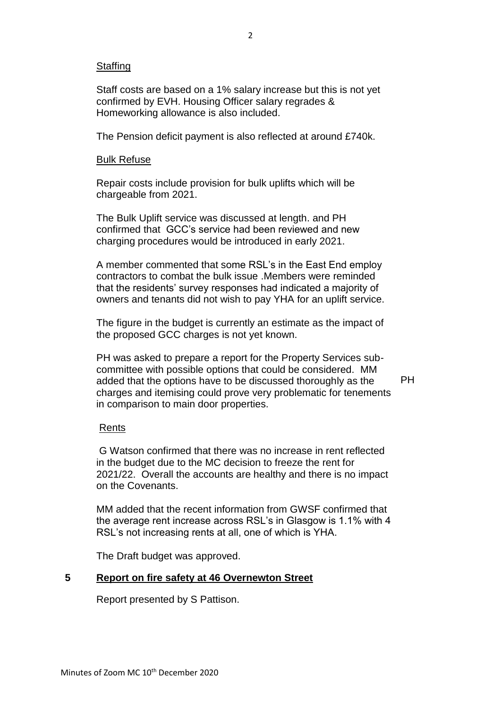### **Staffing**

Staff costs are based on a 1% salary increase but this is not yet confirmed by EVH. Housing Officer salary regrades & Homeworking allowance is also included.

The Pension deficit payment is also reflected at around £740k.

### Bulk Refuse

Repair costs include provision for bulk uplifts which will be chargeable from 2021.

The Bulk Uplift service was discussed at length. and PH confirmed that GCC's service had been reviewed and new charging procedures would be introduced in early 2021.

A member commented that some RSL's in the East End employ contractors to combat the bulk issue .Members were reminded that the residents' survey responses had indicated a majority of owners and tenants did not wish to pay YHA for an uplift service.

The figure in the budget is currently an estimate as the impact of the proposed GCC charges is not yet known.

PH was asked to prepare a report for the Property Services subcommittee with possible options that could be considered. MM added that the options have to be discussed thoroughly as the charges and itemising could prove very problematic for tenements in comparison to main door properties. PH

### Rents

G Watson confirmed that there was no increase in rent reflected in the budget due to the MC decision to freeze the rent for 2021/22. Overall the accounts are healthy and there is no impact on the Covenants.

MM added that the recent information from GWSF confirmed that the average rent increase across RSL's in Glasgow is 1.1% with 4 RSL's not increasing rents at all, one of which is YHA.

The Draft budget was approved.

### **5 Report on fire safety at 46 Overnewton Street**

Report presented by S Pattison.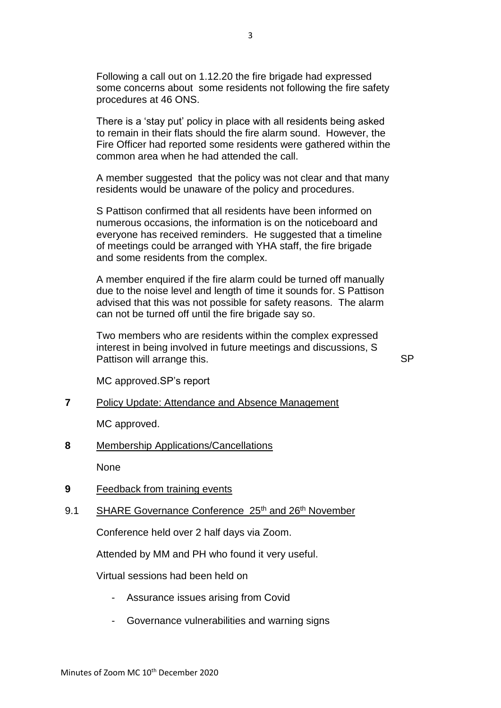Following a call out on 1.12.20 the fire brigade had expressed some concerns about some residents not following the fire safety procedures at 46 ONS.

There is a 'stay put' policy in place with all residents being asked to remain in their flats should the fire alarm sound. However, the Fire Officer had reported some residents were gathered within the common area when he had attended the call.

A member suggested that the policy was not clear and that many residents would be unaware of the policy and procedures.

S Pattison confirmed that all residents have been informed on numerous occasions, the information is on the noticeboard and everyone has received reminders. He suggested that a timeline of meetings could be arranged with YHA staff, the fire brigade and some residents from the complex.

A member enquired if the fire alarm could be turned off manually due to the noise level and length of time it sounds for. S Pattison advised that this was not possible for safety reasons. The alarm can not be turned off until the fire brigade say so.

Two members who are residents within the complex expressed interest in being involved in future meetings and discussions, S Pattison will arrange this.

SP

MC approved.SP's report

#### **7** Policy Update: Attendance and Absence Management

MC approved.

**8** Membership Applications/Cancellations

**None** 

- **9** Feedback from training events
- 9.1 SHARE Governance Conference 25<sup>th</sup> and 26<sup>th</sup> November

Conference held over 2 half days via Zoom.

Attended by MM and PH who found it very useful.

Virtual sessions had been held on

- Assurance issues arising from Covid
- Governance vulnerabilities and warning signs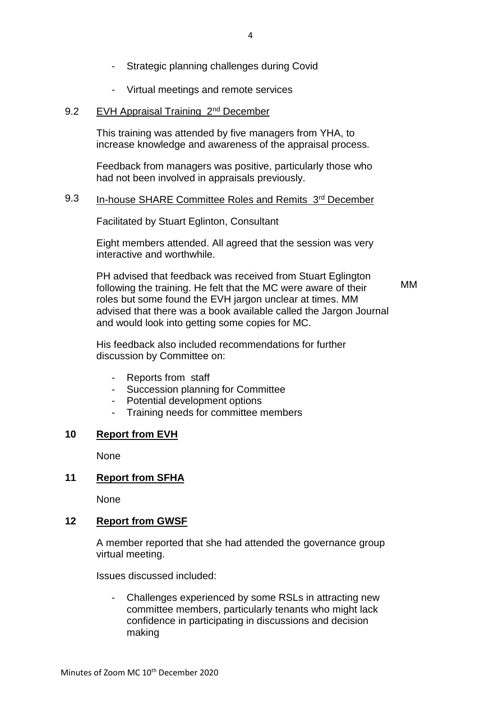- Strategic planning challenges during Covid
- Virtual meetings and remote services

#### 9.2 EVH Appraisal Training 2nd December

This training was attended by five managers from YHA, to increase knowledge and awareness of the appraisal process.

Feedback from managers was positive, particularly those who had not been involved in appraisals previously.

#### 9.3 In-house SHARE Committee Roles and Remits 3rd December

Facilitated by Stuart Eglinton, Consultant

Eight members attended. All agreed that the session was very interactive and worthwhile.

PH advised that feedback was received from Stuart Eglington following the training. He felt that the MC were aware of their roles but some found the EVH jargon unclear at times. MM advised that there was a book available called the Jargon Journal and would look into getting some copies for MC.

MM

His feedback also included recommendations for further discussion by Committee on:

- Reports from staff
- Succession planning for Committee
- Potential development options
- Training needs for committee members

#### **10 Report from EVH**

None

#### **11 Report from SFHA**

None

#### **12 Report from GWSF**

A member reported that she had attended the governance group virtual meeting.

Issues discussed included:

Challenges experienced by some RSLs in attracting new committee members, particularly tenants who might lack confidence in participating in discussions and decision making